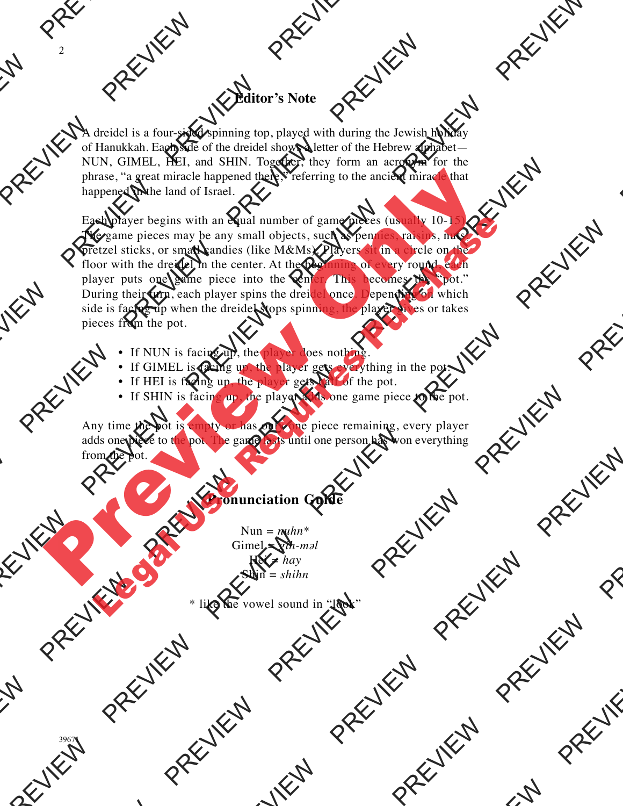## **Editor's Note**

A dreidel is a four-sided spinning top, played with during the Jewish holiday of Hanukkah. Each side of the dreidel shows a letter of the Hebrew alphabet— NUN, GIMEL, HEI, and SHIN. Together, they form an acronym for the phrase, "a great miracle happened there," referring to the ancient miracle that happened in the land of Israel.

Each player begins with an equal number of game pieces (usually 10-1 The game pieces may be any small objects, such as pennies, raisins, nuts pretzel sticks, or small candies (like M&Ms). Players sit in a circle on the floor with the dreidel in the center. At the beginning of every round, each player puts one game piece into the center. This becomes the "pot." During their turn, each player spins the dreidel once. Depending on which side is facing up when the dreidel stops spinning, the player gives or takes pieces from the pot. **Example 19**<br> **Example 1999**<br> **Example 1999**<br> **Example 1999**<br> **Example 1999**<br> **Example 1999**<br> **Example 1999**<br> **Example 1999**<br> **Example 1999**<br> **Example 1999**<br> **Example 1999**<br> **Example 1999**<br> **Example 1999**<br> **Example 1999**<br> Example of Handel is a four-sided spinning top, played of Handelsah. Each side of the dreidel shows NUN, GIMEL, HEI, and SHIN. Together, phrase, "a great miracle happened there," real happened in the land of Israel.<br>
Each **Editor's Note**<br>
A dreidel is a four sided spinning top, played with during the Jewish holiday<br>
of Hambksh. Each side of the dreidel shows a letter of the Holive alphabet-<br>
NUN, GIMEL. HEL, and SHIN. Together, they form a Editor's Note<br>
A dreidel is a four-sided spinning top, played with during the Jewish<br>
of Hamikkah, Each side of the dreidel shows a letter of the Hebrew alt<br>
NUN, GIMEJ, HIII, and SHIN. Together, they form an acronym<br>
phr Editor's Note<br>
A drained is a four-sided spanning top physical width dramatic Bewash boliday<br>
Note, dishere a first in an Strict point of the street of the Town and Top Review Press, the particular particular particular p NUN. Glutial control is the state of the state of the state of the state of the state of the state of the state of the state of the state of the state of the state of the state of the state of the state of the state of th A decided is a four sided spinning top, played with during the Aswish holiday<br>of Hamilted Euck side of the tried below a lefter of the Helica while<br>the Payer and SHIP perfiler, they form an acrospon by the<br>phase  $\approx$  gain Puring their turn, each player spins the dread<br>side is forcing to the state spins of the state is spins the decided stops spinner<br>is forcing to the spins of the spins of the spins of the spins of the spins of the spins of sticks, or small candies (like M&Ms). Players and<br>the dreided in the center At the help defined by completed by the<br>this disc game piece into the center At the help depending of which<br>deter turn, each player spins the dre phrase, "a great miracle happened there," referring to the ancient miracle happened in the land of Israel.<br>
The game pieces smy be any small objects, such as perpendix to the preview of the particle stricks, or small cand Legal Use The pair of the pair of the pair of the same pieces (also the same pieces may be any small objects, such as permitted with the detect sticks, or small candids (like M&Ms). Players of the consider purchase the cu

- If NUN is facing up, the player does nothing.
- If GIMEL is facing up, the player gets everything in the pot.
- If HEI is facing up, the player gets half of the pot.
- If SHIN is facing up, the player adds one game piece to the pot.

Any time the pot is empty or has only one piece remaining, every player adds one piece to the pot. The game lasts until one person has won everything from the pot. **PREVIEW PREVIEW PREVIEW PREVIEW PREVIEW PREVIEW PREVIEW PREVIEW PREVIEW PREVIEW PREVIEW PREVIEW PREVIEW PREVIEW PREVIEW PREVIEW PREVIEW PREVIEW PREVIEW PREVIEW PREVIEW PREVIEW PREVIEW PREVIEW PREVIEW PREVIEW PREVIEW PREV PREVIEW PREVIEW PREVIEW PREVIEW PREVIEW PREVIEW PREVIEW PREVIEW PREVIEW PREVIEW PREVIEW PREVIEW PREVIEW PREVIEW PREVIEW PREVIEW PREVIEW PREVIEW PREVIEW PREVIEW PREVIEW PREVIEW PREVIEW PREVIEW PREVIEW PREVIEW PREVIEW PREV** 

## **Pronunciation Guide**

 $Nun = *nuhn**$ Gimel =  $gih$ -*m* $\partial$ *l* Hei = *hay* Shin = *shihn*

\* like the vowel sound in "look"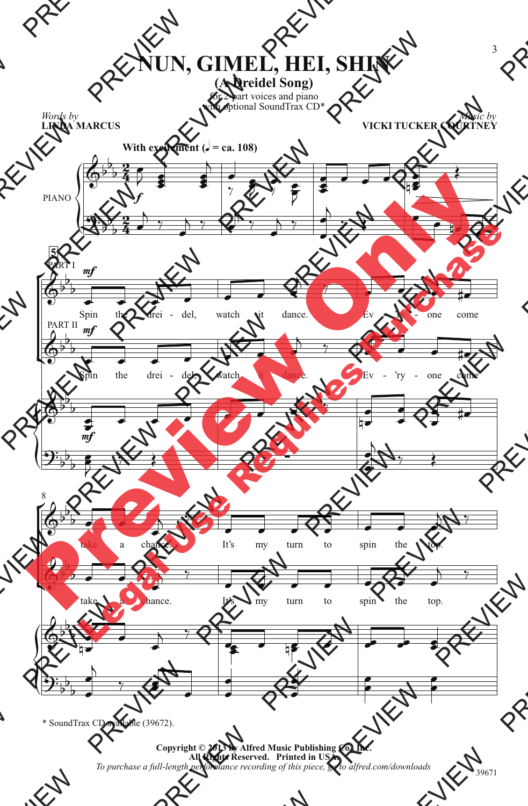## **NUN, GIMEL, HEI, SHIN**

**(A Dreidel Song)**

for 2-part voices and piano with optional SoundTrax CD<sup>\*</sup>

*Words by* **LINDA MARCUS**

*Music by* **VICKI TUCKER COURTNEY**



\* SoundTrax CD available (39672).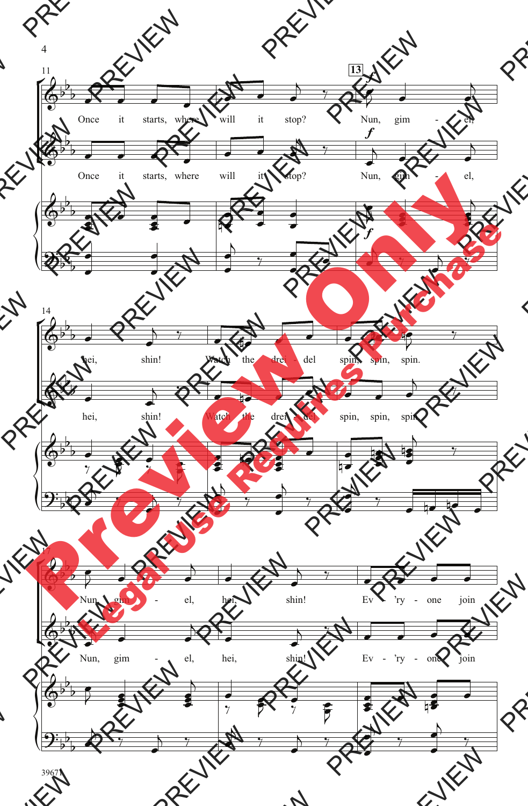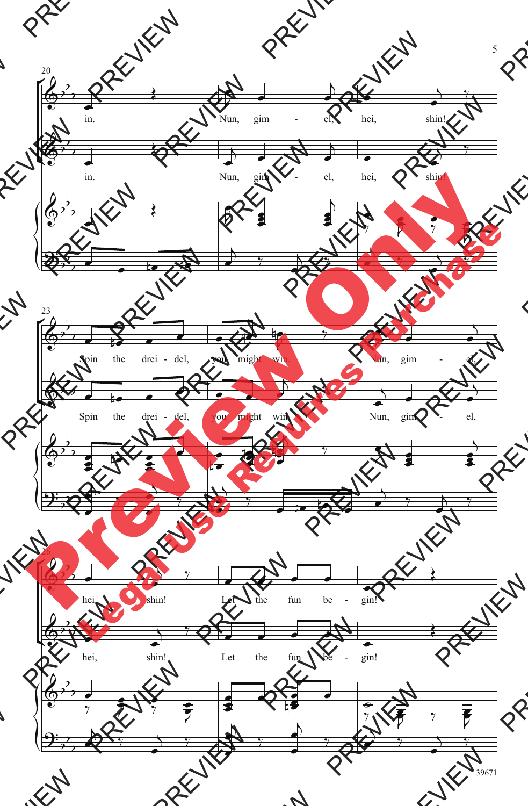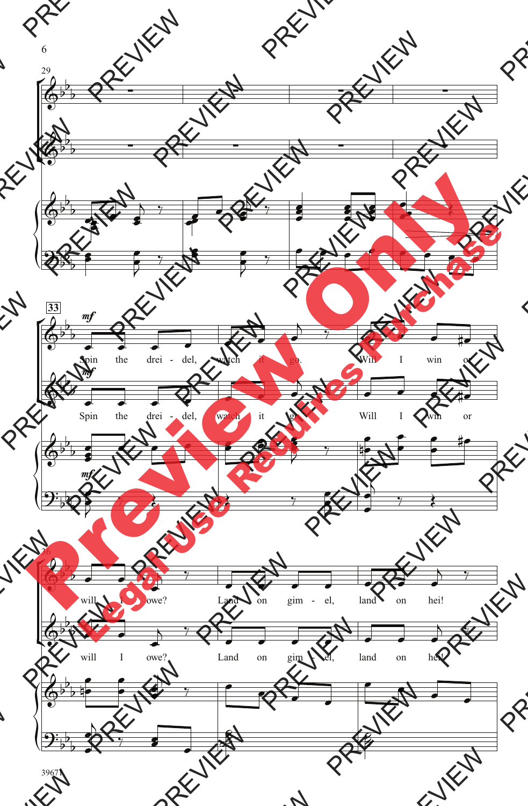

6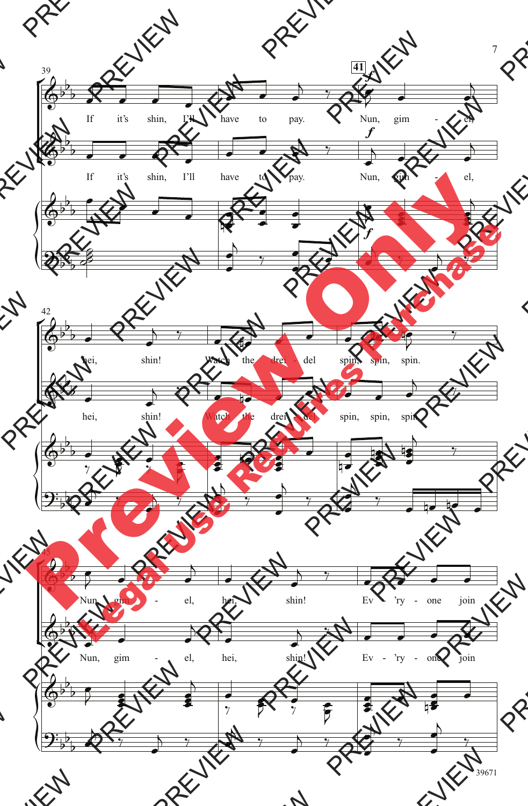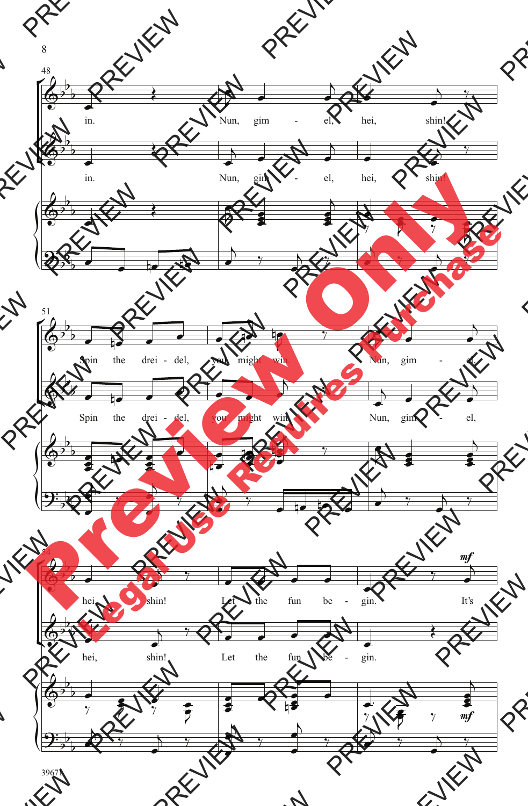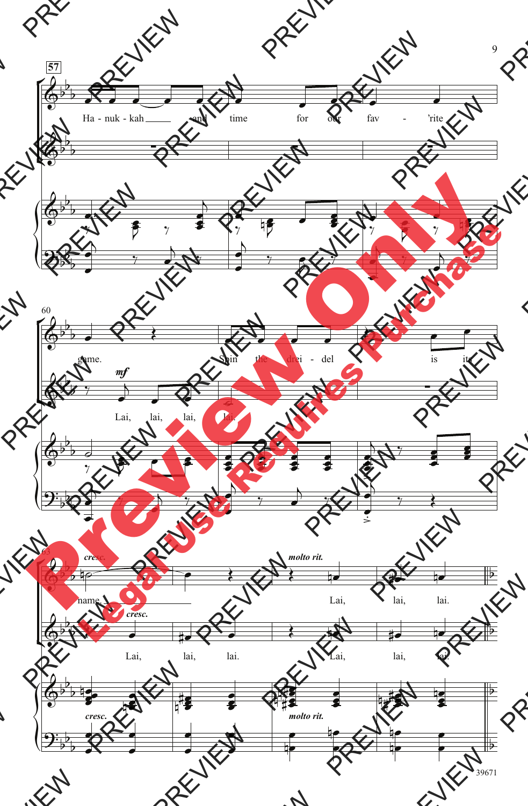

39671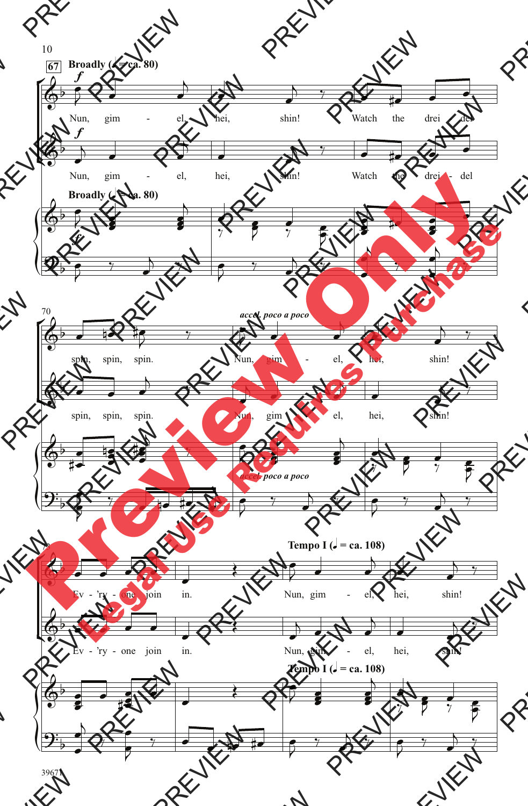